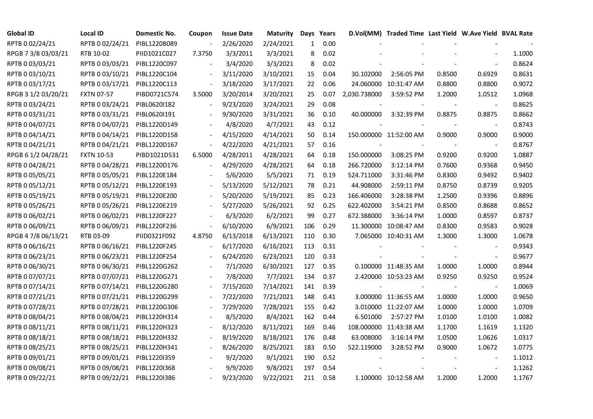| <b>Global ID</b>    | <b>Local ID</b>              | Domestic No. | Coupon                   | <b>Issue Date</b> | <b>Maturity</b> |              | Days Years |              | D.Vol(MM) Traded Time Last Yield W.Ave Yield BVAL Rate |        |                          |        |
|---------------------|------------------------------|--------------|--------------------------|-------------------|-----------------|--------------|------------|--------------|--------------------------------------------------------|--------|--------------------------|--------|
| RPTB 0 02/24/21     | RPTB 0 02/24/21              | PIBL1220B089 |                          | 2/26/2020         | 2/24/2021       | $\mathbf{1}$ | 0.00       |              |                                                        |        |                          |        |
| RPGB 7 3/8 03/03/21 | RTB 10-02                    | PIID1021C027 | 7.3750                   | 3/3/2011          | 3/3/2021        | 8            | 0.02       |              |                                                        |        |                          | 1.1000 |
| RPTB 0 03/03/21     | RPTB 0 03/03/21              | PIBL1220C097 |                          | 3/4/2020          | 3/3/2021        | 8            | 0.02       |              |                                                        |        |                          | 0.8624 |
| RPTB 0 03/10/21     | RPTB 0 03/10/21              | PIBL1220C104 |                          | 3/11/2020         | 3/10/2021       | 15           | 0.04       | 30.102000    | 2:56:05 PM                                             | 0.8500 | 0.6929                   | 0.8631 |
| RPTB 0 03/17/21     | RPTB 0 03/17/21              | PIBL1220C113 |                          | 3/18/2020         | 3/17/2021       | 22           | 0.06       |              | 24.060000 10:31:47 AM                                  | 0.8800 | 0.8800                   | 0.9072 |
| RPGB 3 1/2 03/20/21 | <b>FXTN 07-57</b>            | PIBD0721C574 | 3.5000                   | 3/20/2014         | 3/20/2021       | 25           | 0.07       | 2,030.738000 | 3:59:52 PM                                             | 1.2000 | 1.0512                   | 1.0968 |
| RPTB 0 03/24/21     | RPTB 0 03/24/21              | PIBL0620I182 |                          | 9/23/2020         | 3/24/2021       | 29           | 0.08       |              |                                                        |        | $\blacksquare$           | 0.8625 |
| RPTB 0 03/31/21     | RPTB 0 03/31/21              | PIBL0620I191 |                          | 9/30/2020         | 3/31/2021       | 36           | 0.10       | 40.000000    | 3:32:39 PM                                             | 0.8875 | 0.8875                   | 0.8662 |
| RPTB 0 04/07/21     | RPTB 0 04/07/21              | PIBL1220D149 |                          | 4/8/2020          | 4/7/2021        | 43           | 0.12       |              |                                                        |        |                          | 0.8743 |
| RPTB 0 04/14/21     | RPTB 0 04/14/21              | PIBL1220D158 |                          | 4/15/2020         | 4/14/2021       | 50           | 0.14       |              | 150.000000 11:52:00 AM                                 | 0.9000 | 0.9000                   | 0.9000 |
| RPTB 0 04/21/21     | RPTB 0 04/21/21              | PIBL1220D167 | $\overline{\phantom{a}}$ | 4/22/2020         | 4/21/2021       | 57           | 0.16       |              |                                                        |        | $\blacksquare$           | 0.8767 |
| RPGB 6 1/2 04/28/21 | <b>FXTN 10-53</b>            | PIBD1021D531 | 6.5000                   | 4/28/2011         | 4/28/2021       | 64           | 0.18       | 150.000000   | 3:08:25 PM                                             | 0.9200 | 0.9200                   | 1.0887 |
| RPTB 0 04/28/21     | RPTB 0 04/28/21              | PIBL1220D176 |                          | 4/29/2020         | 4/28/2021       | 64           | 0.18       | 266.720000   | 3:12:14 PM                                             | 0.7600 | 0.9368                   | 0.9450 |
| RPTB 0 05/05/21     | RPTB 0 05/05/21              | PIBL1220E184 |                          | 5/6/2020          | 5/5/2021        | 71           | 0.19       | 524.711000   | 3:31:46 PM                                             | 0.8300 | 0.9492                   | 0.9402 |
| RPTB 0 05/12/21     | RPTB 0 05/12/21              | PIBL1220E193 |                          | 5/13/2020         | 5/12/2021       | 78           | 0.21       | 44.908000    | 2:59:11 PM                                             | 0.8750 | 0.8739                   | 0.9205 |
| RPTB 0 05/19/21     | RPTB 0 05/19/21              | PIBL1220E200 |                          | 5/20/2020         | 5/19/2021       | 85           | 0.23       | 166.406000   | 3:28:38 PM                                             | 1.2500 | 0.9396                   | 0.8896 |
| RPTB 0 05/26/21     | RPTB 0 05/26/21              | PIBL1220E219 |                          | 5/27/2020         | 5/26/2021       | 92           | 0.25       | 622.402000   | 3:54:21 PM                                             | 0.8500 | 0.8688                   | 0.8652 |
| RPTB 0 06/02/21     | RPTB 0 06/02/21              | PIBL1220F227 |                          | 6/3/2020          | 6/2/2021        | 99           | 0.27       | 672.388000   | 3:36:14 PM                                             | 1.0000 | 0.8597                   | 0.8737 |
| RPTB 0 06/09/21     | RPTB 0 06/09/21              | PIBL1220F236 |                          | 6/10/2020         | 6/9/2021        | 106          | 0.29       |              | 11.300000 10:08:47 AM                                  | 0.8300 | 0.9583                   | 0.9028 |
| RPGB 4 7/8 06/13/21 | RTB 03-09                    | PIID0321F092 | 4.8750                   | 6/13/2018         | 6/13/2021       | 110          | 0.30       |              | 7.065000 10:40:31 AM                                   | 1.3000 | 1.3000                   | 1.0678 |
| RPTB 0 06/16/21     | RPTB 0 06/16/21              | PIBL1220F245 |                          | 6/17/2020         | 6/16/2021       | 113          | 0.31       |              |                                                        |        |                          | 0.9343 |
| RPTB 0 06/23/21     | RPTB 0 06/23/21              | PIBL1220F254 |                          | 6/24/2020         | 6/23/2021       | 120          | 0.33       |              |                                                        |        | $\blacksquare$           | 0.9677 |
| RPTB 0 06/30/21     | RPTB 0 06/30/21              | PIBL1220G262 |                          | 7/1/2020          | 6/30/2021       | 127          | 0.35       |              | 0.100000 11:48:35 AM                                   | 1.0000 | 1.0000                   | 0.8944 |
| RPTB 0 07/07/21     | RPTB 0 07/07/21              | PIBL1220G271 |                          | 7/8/2020          | 7/7/2021        | 134          | 0.37       |              | 2.420000 10:53:23 AM                                   | 0.9250 | 0.9250                   | 0.9524 |
| RPTB 0 07/14/21     | RPTB 0 07/14/21              | PIBL1220G280 |                          | 7/15/2020         | 7/14/2021       | 141          | 0.39       |              |                                                        |        | $\overline{\phantom{a}}$ | 1.0069 |
| RPTB 0 07/21/21     | RPTB 0 07/21/21              | PIBL1220G299 |                          | 7/22/2020         | 7/21/2021       | 148          | 0.41       |              | 3.000000 11:36:55 AM                                   | 1.0000 | 1.0000                   | 0.9650 |
| RPTB 0 07/28/21     | RPTB 0 07/28/21              | PIBL1220G306 |                          | 7/29/2020         | 7/28/2021       | 155          | 0.42       |              | 3.010000 11:22:07 AM                                   | 1.0000 | 1.0000                   | 1.0709 |
| RPTB 0 08/04/21     | RPTB 0 08/04/21              | PIBL1220H314 |                          | 8/5/2020          | 8/4/2021        | 162          | 0.44       | 6.501000     | 2:57:27 PM                                             | 1.0100 | 1.0100                   | 1.0082 |
| RPTB 0 08/11/21     | RPTB 0 08/11/21              | PIBL1220H323 |                          | 8/12/2020         | 8/11/2021       | 169          | 0.46       |              | 108.000000 11:43:38 AM                                 | 1.1700 | 1.1619                   | 1.1320 |
| RPTB 0 08/18/21     | RPTB 0 08/18/21              | PIBL1220H332 |                          | 8/19/2020         | 8/18/2021       | 176          | 0.48       | 63.008000    | 3:16:14 PM                                             | 1.0500 | 1.0626                   | 1.0317 |
| RPTB 0 08/25/21     | RPTB 0 08/25/21              | PIBL1220H341 |                          | 8/26/2020         | 8/25/2021       | 183          | 0.50       | 522.119000   | 3:28:52 PM                                             | 0.9000 | 1.0672                   | 1.0775 |
| RPTB 0 09/01/21     | RPTB 0 09/01/21              | PIBL1220I359 |                          | 9/2/2020          | 9/1/2021        | 190          | 0.52       |              |                                                        |        | $\overline{\phantom{a}}$ | 1.1012 |
| RPTB 0 09/08/21     | RPTB 0 09/08/21              | PIBL1220I368 |                          | 9/9/2020          | 9/8/2021        | 197          | 0.54       |              |                                                        |        |                          | 1.1262 |
| RPTB 0 09/22/21     | RPTB 0 09/22/21 PIBL1220I386 |              |                          | 9/23/2020         | 9/22/2021       | 211          | 0.58       |              | 1.100000 10:12:58 AM                                   | 1.2000 | 1.2000                   | 1.1767 |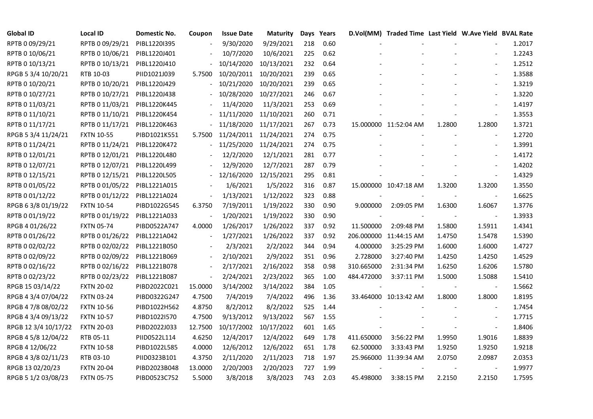| <b>Global ID</b>     | <b>Local ID</b>   | Domestic No. | Coupon  | <b>Issue Date</b> | <b>Maturity</b> |     | Days Years |            | D.Vol(MM) Traded Time Last Yield W.Ave Yield BVAL Rate |        |                          |        |
|----------------------|-------------------|--------------|---------|-------------------|-----------------|-----|------------|------------|--------------------------------------------------------|--------|--------------------------|--------|
| RPTB 0 09/29/21      | RPTB 0 09/29/21   | PIBL1220I395 |         | 9/30/2020         | 9/29/2021       | 218 | 0.60       |            |                                                        |        |                          | 1.2017 |
| RPTB 0 10/06/21      | RPTB 0 10/06/21   | PIBL1220J401 |         | 10/7/2020         | 10/6/2021       | 225 | 0.62       |            |                                                        |        |                          | 1.2243 |
| RPTB 0 10/13/21      | RPTB 0 10/13/21   | PIBL1220J410 |         | 10/14/2020        | 10/13/2021      | 232 | 0.64       |            |                                                        |        | $\overline{\phantom{a}}$ | 1.2512 |
| RPGB 5 3/4 10/20/21  | RTB 10-03         | PIID1021J039 | 5.7500  | 10/20/2011        | 10/20/2021      | 239 | 0.65       |            |                                                        |        | $\blacksquare$           | 1.3588 |
| RPTB 0 10/20/21      | RPTB 0 10/20/21   | PIBL1220J429 |         | 10/21/2020        | 10/20/2021      | 239 | 0.65       |            |                                                        |        | $\overline{\phantom{a}}$ | 1.3219 |
| RPTB 0 10/27/21      | RPTB 0 10/27/21   | PIBL1220J438 |         | 10/28/2020        | 10/27/2021      | 246 | 0.67       |            |                                                        |        | $\overline{\phantom{a}}$ | 1.3220 |
| RPTB 0 11/03/21      | RPTB 0 11/03/21   | PIBL1220K445 |         | 11/4/2020         | 11/3/2021       | 253 | 0.69       |            |                                                        |        |                          | 1.4197 |
| RPTB 0 11/10/21      | RPTB 0 11/10/21   | PIBL1220K454 |         | 11/11/2020        | 11/10/2021      | 260 | 0.71       |            |                                                        |        | $\overline{\phantom{a}}$ | 1.3553 |
| RPTB 0 11/17/21      | RPTB 0 11/17/21   | PIBL1220K463 |         | 11/18/2020        | 11/17/2021      | 267 | 0.73       |            | 15.000000 11:52:04 AM                                  | 1.2800 | 1.2800                   | 1.3721 |
| RPGB 5 3/4 11/24/21  | <b>FXTN 10-55</b> | PIBD1021K551 | 5.7500  | 11/24/2011        | 11/24/2021      | 274 | 0.75       |            |                                                        |        | $\overline{\phantom{a}}$ | 1.2720 |
| RPTB 0 11/24/21      | RPTB 0 11/24/21   | PIBL1220K472 |         | 11/25/2020        | 11/24/2021      | 274 | 0.75       |            |                                                        |        | $\blacksquare$           | 1.3991 |
| RPTB 0 12/01/21      | RPTB 0 12/01/21   | PIBL1220L480 |         | 12/2/2020         | 12/1/2021       | 281 | 0.77       |            |                                                        |        | $\blacksquare$           | 1.4172 |
| RPTB 0 12/07/21      | RPTB 0 12/07/21   | PIBL1220L499 |         | 12/9/2020         | 12/7/2021       | 287 | 0.79       |            |                                                        |        | $\overline{\phantom{a}}$ | 1.4202 |
| RPTB 0 12/15/21      | RPTB 0 12/15/21   | PIBL1220L505 |         | 12/16/2020        | 12/15/2021      | 295 | 0.81       |            |                                                        |        | $\blacksquare$           | 1.4329 |
| RPTB 0 01/05/22      | RPTB 0 01/05/22   | PIBL1221A015 |         | 1/6/2021          | 1/5/2022        | 316 | 0.87       |            | 15.000000 10:47:18 AM                                  | 1.3200 | 1.3200                   | 1.3550 |
| RPTB 0 01/12/22      | RPTB 0 01/12/22   | PIBL1221A024 |         | 1/13/2021         | 1/12/2022       | 323 | 0.88       |            |                                                        |        | $\blacksquare$           | 1.6625 |
| RPGB 63/8 01/19/22   | <b>FXTN 10-54</b> | PIBD1022G545 | 6.3750  | 7/19/2011         | 1/19/2022       | 330 | 0.90       | 9.000000   | 2:09:05 PM                                             | 1.6300 | 1.6067                   | 1.3776 |
| RPTB 0 01/19/22      | RPTB 0 01/19/22   | PIBL1221A033 |         | 1/20/2021         | 1/19/2022       | 330 | 0.90       |            |                                                        |        | $\blacksquare$           | 1.3933 |
| RPGB 4 01/26/22      | <b>FXTN 05-74</b> | PIBD0522A747 | 4.0000  | 1/26/2017         | 1/26/2022       | 337 | 0.92       | 11.500000  | 2:09:48 PM                                             | 1.5800 | 1.5911                   | 1.4341 |
| RPTB 0 01/26/22      | RPTB 0 01/26/22   | PIBL1221A042 |         | 1/27/2021         | 1/26/2022       | 337 | 0.92       |            | 206.000000 11:44:15 AM                                 | 1.4750 | 1.5478                   | 1.5390 |
| RPTB 0 02/02/22      | RPTB 0 02/02/22   | PIBL1221B050 |         | 2/3/2021          | 2/2/2022        | 344 | 0.94       | 4.000000   | 3:25:29 PM                                             | 1.6000 | 1.6000                   | 1.4727 |
| RPTB 0 02/09/22      | RPTB 0 02/09/22   | PIBL1221B069 |         | 2/10/2021         | 2/9/2022        | 351 | 0.96       | 2.728000   | 3:27:40 PM                                             | 1.4250 | 1.4250                   | 1.4529 |
| RPTB 0 02/16/22      | RPTB 0 02/16/22   | PIBL1221B078 |         | 2/17/2021         | 2/16/2022       | 358 | 0.98       | 310.665000 | 2:31:34 PM                                             | 1.6250 | 1.6206                   | 1.5780 |
| RPTB 0 02/23/22      | RPTB 0 02/23/22   | PIBL1221B087 |         | 2/24/2021         | 2/23/2022       | 365 | 1.00       | 484.472000 | 3:37:11 PM                                             | 1.5000 | 1.5088                   | 1.5410 |
| RPGB 15 03/14/22     | <b>FXTN 20-02</b> | PIBD2022C021 | 15.0000 | 3/14/2002         | 3/14/2022       | 384 | 1.05       |            |                                                        |        | $\blacksquare$           | 1.5662 |
| RPGB 4 3/4 07/04/22  | <b>FXTN 03-24</b> | PIBD0322G247 | 4.7500  | 7/4/2019          | 7/4/2022        | 496 | 1.36       |            | 33.464000 10:13:42 AM                                  | 1.8000 | 1.8000                   | 1.8195 |
| RPGB 4 7/8 08/02/22  | <b>FXTN 10-56</b> | PIBD1022H562 | 4.8750  | 8/2/2012          | 8/2/2022        | 525 | 1.44       |            |                                                        |        |                          | 1.7454 |
| RPGB 4 3/4 09/13/22  | <b>FXTN 10-57</b> | PIBD1022I570 | 4.7500  | 9/13/2012         | 9/13/2022       | 567 | 1.55       |            |                                                        |        | $\sim$                   | 1.7715 |
| RPGB 12 3/4 10/17/22 | <b>FXTN 20-03</b> | PIBD2022J033 | 12.7500 | 10/17/2002        | 10/17/2022      | 601 | 1.65       |            |                                                        |        | $\blacksquare$           | 1.8406 |
| RPGB 4 5/8 12/04/22  | RTB 05-11         | PIID0522L114 | 4.6250  | 12/4/2017         | 12/4/2022       | 649 | 1.78       | 411.650000 | 3:56:22 PM                                             | 1.9950 | 1.9016                   | 1.8839 |
| RPGB 4 12/06/22      | <b>FXTN 10-58</b> | PIBD1022L585 | 4.0000  | 12/6/2012         | 12/6/2022       | 651 | 1.78       | 62.500000  | 3:33:43 PM                                             | 1.9250 | 1.9250                   | 1.9218 |
| RPGB 4 3/8 02/11/23  | RTB 03-10         | PIID0323B101 | 4.3750  | 2/11/2020         | 2/11/2023       | 718 | 1.97       |            | 25.966000 11:39:34 AM                                  | 2.0750 | 2.0987                   | 2.0353 |
| RPGB 13 02/20/23     | <b>FXTN 20-04</b> | PIBD2023B048 | 13.0000 | 2/20/2003         | 2/20/2023       | 727 | 1.99       |            |                                                        |        |                          | 1.9977 |
| RPGB 5 1/2 03/08/23  | <b>FXTN 05-75</b> | PIBD0523C752 | 5.5000  | 3/8/2018          | 3/8/2023        | 743 | 2.03       | 45.498000  | 3:38:15 PM                                             | 2.2150 | 2.2150                   | 1.7595 |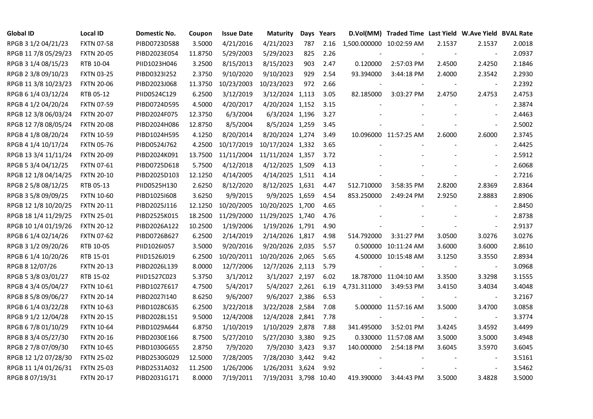| <b>Global ID</b>     | <b>Local ID</b>   | Domestic No. | Coupon  | <b>Issue Date</b> | Maturity              |     | Days Years |                          | D.Vol(MM) Traded Time Last Yield W.Ave Yield BVAL Rate |        |                          |        |
|----------------------|-------------------|--------------|---------|-------------------|-----------------------|-----|------------|--------------------------|--------------------------------------------------------|--------|--------------------------|--------|
| RPGB 3 1/2 04/21/23  | <b>FXTN 07-58</b> | PIBD0723D588 | 3.5000  | 4/21/2016         | 4/21/2023             | 787 | 2.16       | 1,500.000000 10:02:59 AM |                                                        | 2.1537 | 2.1537                   | 2.0018 |
| RPGB 11 7/8 05/29/23 | <b>FXTN 20-05</b> | PIBD2023E054 | 11.8750 | 5/29/2003         | 5/29/2023             | 825 | 2.26       |                          |                                                        |        |                          | 2.0937 |
| RPGB 3 1/4 08/15/23  | RTB 10-04         | PIID1023H046 | 3.2500  | 8/15/2013         | 8/15/2023             | 903 | 2.47       | 0.120000                 | 2:57:03 PM                                             | 2.4500 | 2.4250                   | 2.1846 |
| RPGB 2 3/8 09/10/23  | <b>FXTN 03-25</b> | PIBD0323I252 | 2.3750  | 9/10/2020         | 9/10/2023             | 929 | 2.54       | 93.394000                | 3:44:18 PM                                             | 2.4000 | 2.3542                   | 2.2930 |
| RPGB 11 3/8 10/23/23 | <b>FXTN 20-06</b> | PIBD2023J068 | 11.3750 | 10/23/2003        | 10/23/2023            | 972 | 2.66       |                          |                                                        |        | $\blacksquare$           | 2.2392 |
| RPGB 6 1/4 03/12/24  | RTB 05-12         | PIID0524C129 | 6.2500  | 3/12/2019         | 3/12/2024 1,113       |     | 3.05       | 82.185000                | 3:03:27 PM                                             | 2.4750 | 2.4753                   | 2.4753 |
| RPGB 4 1/2 04/20/24  | <b>FXTN 07-59</b> | PIBD0724D595 | 4.5000  | 4/20/2017         | 4/20/2024 1,152       |     | 3.15       |                          |                                                        |        | $\blacksquare$           | 2.3874 |
| RPGB 12 3/8 06/03/24 | <b>FXTN 20-07</b> | PIBD2024F075 | 12.3750 | 6/3/2004          | 6/3/2024 1,196        |     | 3.27       |                          |                                                        |        | $\overline{a}$           | 2.4463 |
| RPGB 12 7/8 08/05/24 | <b>FXTN 20-08</b> | PIBD2024H086 | 12.8750 | 8/5/2004          | 8/5/2024 1,259        |     | 3.45       |                          |                                                        |        |                          | 2.5002 |
| RPGB 4 1/8 08/20/24  | <b>FXTN 10-59</b> | PIBD1024H595 | 4.1250  | 8/20/2014         | 8/20/2024 1,274       |     | 3.49       |                          | 10.096000 11:57:25 AM                                  | 2.6000 | 2.6000                   | 2.3745 |
| RPGB 4 1/4 10/17/24  | <b>FXTN 05-76</b> | PIBD0524J762 | 4.2500  | 10/17/2019        | 10/17/2024 1,332      |     | 3.65       |                          |                                                        | $\sim$ | $\blacksquare$           | 2.4425 |
| RPGB 13 3/4 11/11/24 | <b>FXTN 20-09</b> | PIBD2024K091 | 13.7500 | 11/11/2004        | 11/11/2024 1,357      |     | 3.72       |                          |                                                        |        | $\overline{a}$           | 2.5912 |
| RPGB 5 3/4 04/12/25  | <b>FXTN 07-61</b> | PIBD0725D618 | 5.7500  | 4/12/2018         | 4/12/2025 1,509       |     | 4.13       |                          |                                                        |        | $\blacksquare$           | 2.6068 |
| RPGB 12 1/8 04/14/25 | <b>FXTN 20-10</b> | PIBD2025D103 | 12.1250 | 4/14/2005         | 4/14/2025 1,511       |     | 4.14       |                          |                                                        |        | $\blacksquare$           | 2.7216 |
| RPGB 2 5/8 08/12/25  | RTB 05-13         | PIID0525H130 | 2.6250  | 8/12/2020         | 8/12/2025 1,631       |     | 4.47       | 512.710000               | 3:58:35 PM                                             | 2.8200 | 2.8369                   | 2.8364 |
| RPGB 3 5/8 09/09/25  | <b>FXTN 10-60</b> | PIBD10251608 | 3.6250  | 9/9/2015          | 9/9/2025 1,659        |     | 4.54       | 853.250000               | 2:49:24 PM                                             | 2.9250 | 2.8883                   | 2.8906 |
| RPGB 12 1/8 10/20/25 | <b>FXTN 20-11</b> | PIBD2025J116 | 12.1250 | 10/20/2005        | 10/20/2025 1,700      |     | 4.65       |                          |                                                        |        | $\overline{a}$           | 2.8450 |
| RPGB 18 1/4 11/29/25 | <b>FXTN 25-01</b> | PIBD2525K015 | 18.2500 | 11/29/2000        | 11/29/2025 1,740      |     | 4.76       |                          |                                                        |        | $\blacksquare$           | 2.8738 |
| RPGB 10 1/4 01/19/26 | <b>FXTN 20-12</b> | PIBD2026A122 | 10.2500 | 1/19/2006         | 1/19/2026 1,791       |     | 4.90       |                          |                                                        |        | $\blacksquare$           | 2.9137 |
| RPGB 6 1/4 02/14/26  | <b>FXTN 07-62</b> | PIBD0726B627 | 6.2500  | 2/14/2019         | 2/14/2026 1,817       |     | 4.98       | 514.792000               | 3:31:27 PM                                             | 3.0500 | 3.0276                   | 3.0276 |
| RPGB 3 1/2 09/20/26  | RTB 10-05         | PIID1026I057 | 3.5000  | 9/20/2016         | 9/20/2026 2,035       |     | 5.57       |                          | 0.500000 10:11:24 AM                                   | 3.6000 | 3.6000                   | 2.8610 |
| RPGB 6 1/4 10/20/26  | RTB 15-01         | PIID1526J019 | 6.2500  | 10/20/2011        | 10/20/2026 2,065      |     | 5.65       |                          | 4.500000 10:15:48 AM                                   | 3.1250 | 3.3550                   | 2.8934 |
| RPGB 8 12/07/26      | <b>FXTN 20-13</b> | PIBD2026L139 | 8.0000  | 12/7/2006         | 12/7/2026 2,113       |     | 5.79       |                          |                                                        |        | $\overline{\phantom{a}}$ | 3.0968 |
| RPGB 5 3/8 03/01/27  | RTB 15-02         | PIID1527C023 | 5.3750  | 3/1/2012          | 3/1/2027 2,197        |     | 6.02       |                          | 18.787000 11:04:10 AM                                  | 3.3500 | 3.3298                   | 3.1555 |
| RPGB 4 3/4 05/04/27  | <b>FXTN 10-61</b> | PIBD1027E617 | 4.7500  | 5/4/2017          | 5/4/2027 2,261        |     | 6.19       | 4,731.311000             | 3:49:53 PM                                             | 3.4150 | 3.4034                   | 3.4048 |
| RPGB 8 5/8 09/06/27  | <b>FXTN 20-14</b> | PIBD2027I140 | 8.6250  | 9/6/2007          | 9/6/2027 2,386        |     | 6.53       |                          |                                                        |        | $\blacksquare$           | 3.2167 |
| RPGB 6 1/4 03/22/28  | <b>FXTN 10-63</b> | PIBD1028C635 | 6.2500  | 3/22/2018         | 3/22/2028 2,584       |     | 7.08       |                          | 5.000000 11:57:16 AM                                   | 3.5000 | 3.4700                   | 3.0858 |
| RPGB 9 1/2 12/04/28  | <b>FXTN 20-15</b> | PIBD2028L151 | 9.5000  | 12/4/2008         | 12/4/2028 2,841       |     | 7.78       |                          |                                                        |        | $\blacksquare$           | 3.3774 |
| RPGB 67/8 01/10/29   | <b>FXTN 10-64</b> | PIBD1029A644 | 6.8750  | 1/10/2019         | 1/10/2029 2,878       |     | 7.88       | 341.495000               | 3:52:01 PM                                             | 3.4245 | 3.4592                   | 3.4499 |
| RPGB 8 3/4 05/27/30  | <b>FXTN 20-16</b> | PIBD2030E166 | 8.7500  | 5/27/2010         | 5/27/2030 3,380       |     | 9.25       |                          | 0.330000 11:57:08 AM                                   | 3.5000 | 3.5000                   | 3.4948 |
| RPGB 2 7/8 07/09/30  | <b>FXTN 10-65</b> | PIBD1030G655 | 2.8750  | 7/9/2020          | 7/9/2030 3,423        |     | 9.37       | 140.000000               | 2:54:18 PM                                             | 3.6045 | 3.5970                   | 3.6045 |
| RPGB 12 1/2 07/28/30 | <b>FXTN 25-02</b> | PIBD2530G029 | 12.5000 | 7/28/2005         | 7/28/2030 3,442       |     | 9.42       |                          |                                                        |        | $\overline{\phantom{a}}$ | 3.5161 |
| RPGB 11 1/4 01/26/31 | <b>FXTN 25-03</b> | PIBD2531A032 | 11.2500 | 1/26/2006         | 1/26/2031 3,624       |     | 9.92       |                          |                                                        |        | $\overline{\phantom{a}}$ | 3.5462 |
| RPGB 8 07/19/31      | <b>FXTN 20-17</b> | PIBD2031G171 | 8.0000  | 7/19/2011         | 7/19/2031 3,798 10.40 |     |            | 419.390000               | 3:44:43 PM                                             | 3.5000 | 3.4828                   | 3.5000 |